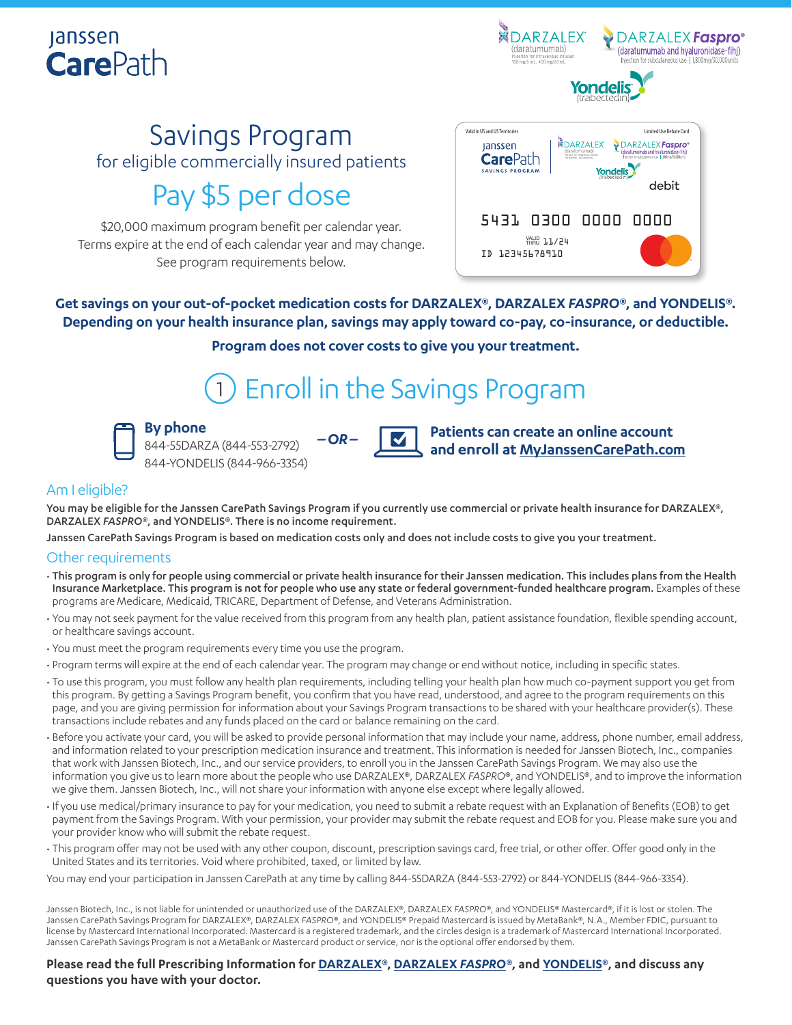### **Janssen CarePath**



## Savings Program

for eligible commercially insured patients

### Pay \$5 per dose

\$20,000 maximum program benefit per calendar year. Terms expire at the end of each calendar year and may change. See program requirements below.



**Get savings on your out-of-pocket medication costs for DARZALEX®, DARZALEX** *FASPRO***®, and YONDELIS®. Depending on your health insurance plan, savings may apply toward co-pay, co-insurance, or deductible.**

**Program does not cover costs to give you your treatment.**

## 1 Enroll in the Savings Program

**By phone** 844-55DARZA (844-553-2792) 844-YONDELIS (844-966-3354)



**Patients can create an online account and enroll at [MyJanssenCarePath.com](https://www.myjanssencarepath.com/s/login/SelfRegister?regBy=Self)**

### Am I eligible?

You may be eligible for the Janssen CarePath Savings Program if you currently use commercial or private health insurance for DARZALEX®, DARZALEX *FASPRO*®, and YONDELIS®. There is no income requirement.

Janssen CarePath Savings Program is based on medication costs only and does not include costs to give you your treatment.

*–OR–*

#### Other requirements

- This program is only for people using commercial or private health insurance for their Janssen medication. This includes plans from the Health Insurance Marketplace. This program is not for people who use any state or federal government-funded healthcare program. Examples of these programs are Medicare, Medicaid, TRICARE, Department of Defense, and Veterans Administration.
- You may not seek payment for the value received from this program from any health plan, patient assistance foundation, flexible spending account, or healthcare savings account.
- You must meet the program requirements every time you use the program.
- Program terms will expire at the end of each calendar year. The program may change or end without notice, including in specific states.
- To use this program, you must follow any health plan requirements, including telling your health plan how much co-payment support you get from this program. By getting a Savings Program benefit, you confirm that you have read, understood, and agree to the program requirements on this page, and you are giving permission for information about your Savings Program transactions to be shared with your healthcare provider(s). These transactions include rebates and any funds placed on the card or balance remaining on the card.
- Before you activate your card, you will be asked to provide personal information that may include your name, address, phone number, email address, and information related to your prescription medication insurance and treatment. This information is needed for Janssen Biotech, Inc., companies that work with Janssen Biotech, Inc., and our service providers, to enroll you in the Janssen CarePath Savings Program. We may also use the information you give us to learn more about the people who use DARZALEX®, DARZALEX *FASPRO*®, and YONDELIS®, and to improve the information we give them. Janssen Biotech, Inc., will not share your information with anyone else except where legally allowed.
- If you use medical/primary insurance to pay for your medication, you need to submit a rebate request with an Explanation of Benefits (EOB) to get payment from the Savings Program. With your permission, your provider may submit the rebate request and EOB for you. Please make sure you and your provider know who will submit the rebate request.
- This program offer may not be used with any other coupon, discount, prescription savings card, free trial, or other offer. Offer good only in the United States and its territories. Void where prohibited, taxed, or limited by law.

You may end your participation in Janssen CarePath at any time by calling 844-55DARZA (844-553-2792) or 844-YONDELIS (844-966-3354).

Janssen Biotech, Inc., is not liable for unintended or unauthorized use of the DARZALEX®, DARZALEX FASPRO®, and YONDELIS® Mastercard®, if it is lost or stolen. The Janssen CarePath Savings Program for DARZALEX®, DARZALEX *FASPRO*®, and YONDELIS® Prepaid Mastercard is issued by MetaBank®, N.A., Member FDIC, pursuant to license by Mastercard International Incorporated. Mastercard is a registered trademark, and the circles design is a trademark of Mastercard International Incorporated. Janssen CarePath Savings Program is not a MetaBank or Mastercard product or service, nor is the optional offer endorsed by them.

**Please read the full Prescribing Information for [DARZALEX](https://www.janssenlabels.com/package-insert/product-monograph/prescribing-information/DARZALEX-pi.pdf)®, [DARZALEX](https://www.janssenlabels.com/package-insert/product-monograph/prescribing-information/DARZALEX+Faspro-pi.pdf)** *FASPRO***®, and [YONDELIS®](https://www.janssenlabels.com/package-insert/product-monograph/prescribing-information/YONDELIS-pi.pdf), and discuss any questions you have with your doctor.**